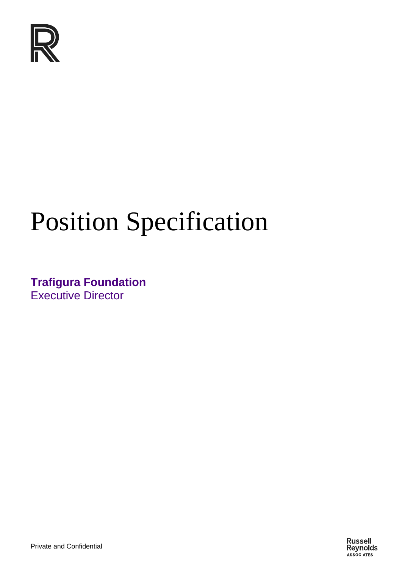

# Position Specification

**Trafigura Foundation** Executive Director

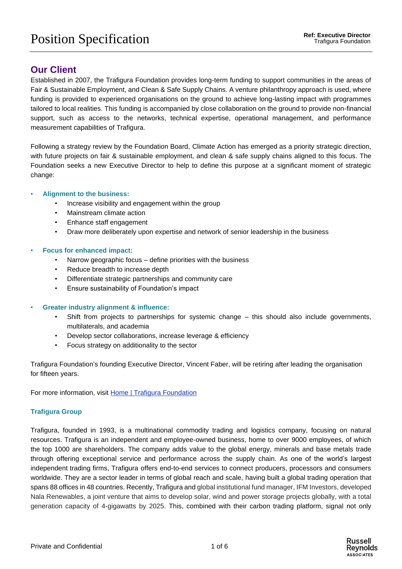## **Our Client**

Established in 2007, the Trafigura Foundation provides long-term funding to support communities in the areas of Fair & Sustainable Employment, and Clean & Safe Supply Chains. A venture philanthropy approach is used, where funding is provided to experienced organisations on the ground to achieve long-lasting impact with programmes tailored to local realities. This funding is accompanied by close collaboration on the ground to provide non-financial support, such as access to the networks, technical expertise, operational management, and performance measurement capabilities of Trafigura.

Following a strategy review by the Foundation Board, Climate Action has emerged as a priority strategic direction, with future projects on fair & sustainable employment, and clean & safe supply chains aligned to this focus. The Foundation seeks a new Executive Director to help to define this purpose at a significant moment of strategic change:

#### • **Alignment to the business:**

- Increase visibility and engagement within the group
- Mainstream climate action
- Enhance staff engagement
- Draw more deliberately upon expertise and network of senior leadership in the business

#### • **Focus for enhanced impact:**

- Narrow geographic focus define priorities with the business
- Reduce breadth to increase depth
- Differentiate strategic partnerships and community care
- Ensure sustainability of Foundation's impact

#### • **Greater industry alignment & influence:**

- Shift from projects to partnerships for systemic change this should also include governments, multilaterals, and academia
- Develop sector collaborations, increase leverage & efficiency
- Focus strategy on additionality to the sector

Trafigura Foundation's founding Executive Director, Vincent Faber, will be retiring after leading the organisation for fifteen years.

For more information, visit [Home | Trafigura Foundation](https://www.trafigurafoundation.org/)

#### **Trafigura Group**

Trafigura, founded in 1993, is a multinational commodity trading and logistics company, focusing on natural resources. Trafigura is an independent and employee-owned business, home to over 9000 employees, of which the top 1000 are shareholders. The company adds value to the global energy, minerals and base metals trade through offering exceptional service and performance across the supply chain. As one of the world's largest independent trading firms, Trafigura offers end-to-end services to connect producers, processors and consumers worldwide. They are a sector leader in terms of global reach and scale, having built a global trading operation that spans 88 offices in 48 countries. Recently, Trafigura and global institutional fund manager, IFM Investors, developed Nala Renewables, a joint venture that aims to develop solar, wind and power storage projects globally, with a total generation capacity of 4-gigawatts by 2025. This, combined with their carbon trading platform, signal not only

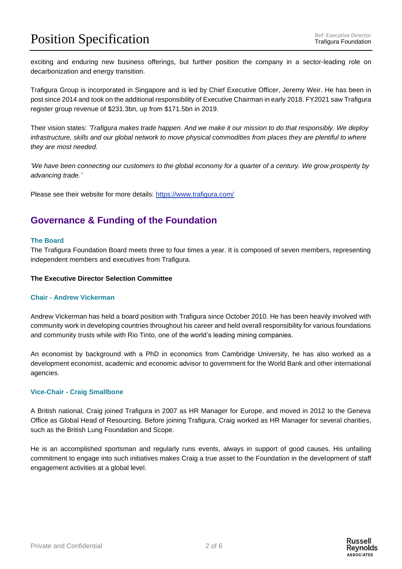## **Position Specification** Ref: Executive Director

exciting and enduring new business offerings, but further position the company in a sector-leading role on decarbonization and energy transition.

Trafigura Group is incorporated in Singapore and is led by Chief Executive Officer, Jeremy Weir. He has been in post since 2014 and took on the additional responsibility of Executive Chairman in early 2018. FY2021 saw Trafigura register group revenue of \$231.3bn, up from \$171.5bn in 2019.

Their vision states: *'Trafigura makes trade happen. And we make it our mission to do that responsibly. We deploy infrastructure, skills and our global network to move physical commodities from places they are plentiful to where they are most needed.*

'We have been connecting our customers to the global economy for a quarter of a century. We grow prosperity by *advancing trade.'*

Please see their website for more details:<https://www.trafigura.com/>

## **Governance & Funding of the Foundation**

#### **The Board**

The Trafigura Foundation Board meets three to four times a year. It is composed of seven members, representing independent members and executives from Trafigura.

#### **The Executive Director Selection Committee**

#### **Chair - Andrew Vickerman**

Andrew Vickerman has held a board position with Trafigura since October 2010. He has been heavily involved with community work in developing countries throughout his career and held overall responsibility for various foundations and community trusts while with Rio Tinto, one of the world's leading mining companies.

An economist by background with a PhD in economics from Cambridge University, he has also worked as a development economist, academic and economic advisor to government for the World Bank and other international agencies.

#### **Vice-Chair - Craig Smallbone**

A British national, Craig joined Trafigura in 2007 as HR Manager for Europe, and moved in 2012 to the Geneva Office as Global Head of Resourcing. Before joining Trafigura, Craig worked as HR Manager for several charities, such as the British Lung Foundation and Scope.

He is an accomplished sportsman and regularly runs events, always in support of good causes. His unfailing commitment to engage into such initiatives makes Craig a true asset to the Foundation in the development of staff engagement activities at a global level.

Russell Revnolds **ASSOCIATES**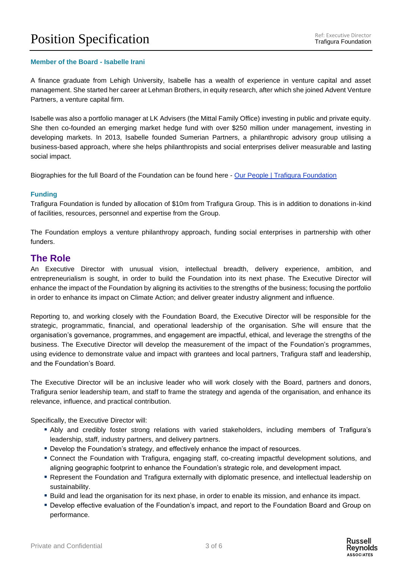#### **Member of the Board - Isabelle Irani**

A finance graduate from Lehigh University, Isabelle has a wealth of experience in venture capital and asset management. She started her career at Lehman Brothers, in equity research, after which she joined Advent Venture Partners, a venture capital firm.

Isabelle was also a portfolio manager at LK Advisers (the Mittal Family Office) investing in public and private equity. She then co-founded an emerging market hedge fund with over \$250 million under management, investing in developing markets. In 2013, Isabelle founded Sumerian Partners, a philanthropic advisory group utilising a business-based approach, where she helps philanthropists and social enterprises deliver measurable and lasting social impact.

Biographies for the full Board of the Foundation can be found here - [Our People | Trafigura Foundation](https://www.trafigurafoundation.org/about-us/our-people/)

#### **Funding**

Trafigura Foundation is funded by allocation of \$10m from Trafigura Group. This is in addition to donations in-kind of facilities, resources, personnel and expertise from the Group.

The Foundation employs a venture philanthropy approach, funding social enterprises in partnership with other funders.

### **The Role**

An Executive Director with unusual vision, intellectual breadth, delivery experience, ambition, and entrepreneurialism is sought, in order to build the Foundation into its next phase. The Executive Director will enhance the impact of the Foundation by aligning its activities to the strengths of the business; focusing the portfolio in order to enhance its impact on Climate Action; and deliver greater industry alignment and influence.

Reporting to, and working closely with the Foundation Board, the Executive Director will be responsible for the strategic, programmatic, financial, and operational leadership of the organisation. S/he will ensure that the organisation's governance, programmes, and engagement are impactful, ethical, and leverage the strengths of the business. The Executive Director will develop the measurement of the impact of the Foundation's programmes, using evidence to demonstrate value and impact with grantees and local partners, Trafigura staff and leadership, and the Foundation's Board.

The Executive Director will be an inclusive leader who will work closely with the Board, partners and donors, Trafigura senior leadership team, and staff to frame the strategy and agenda of the organisation, and enhance its relevance, influence, and practical contribution.

Specifically, the Executive Director will:

- Ably and credibly foster strong relations with varied stakeholders, including members of Trafigura's leadership, staff, industry partners, and delivery partners.
- **Develop the Foundation's strategy, and effectively enhance the impact of resources.**
- Connect the Foundation with Trafigura, engaging staff, co-creating impactful development solutions, and aligning geographic footprint to enhance the Foundation's strategic role, and development impact.
- Represent the Foundation and Trafigura externally with diplomatic presence, and intellectual leadership on sustainability.
- Build and lead the organisation for its next phase, in order to enable its mission, and enhance its impact.
- Develop effective evaluation of the Foundation's impact, and report to the Foundation Board and Group on performance.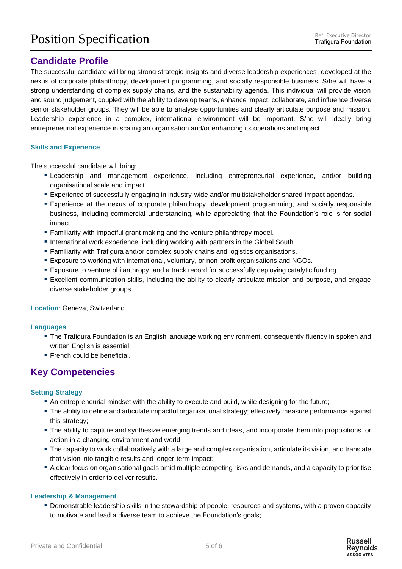## **Candidate Profile**

The successful candidate will bring strong strategic insights and diverse leadership experiences, developed at the nexus of corporate philanthropy, development programming, and socially responsible business. S/he will have a strong understanding of complex supply chains, and the sustainability agenda. This individual will provide vision and sound judgement, coupled with the ability to develop teams, enhance impact, collaborate, and influence diverse senior stakeholder groups. They will be able to analyse opportunities and clearly articulate purpose and mission. Leadership experience in a complex, international environment will be important. S/he will ideally bring entrepreneurial experience in scaling an organisation and/or enhancing its operations and impact.

#### **Skills and Experience**

The successful candidate will bring:

- **Example 20 Ferals and management experience, including entrepreneurial experience, and/or building** organisational scale and impact.
- **Experience of successfully engaging in industry-wide and/or multistakeholder shared-impact agendas.**
- Experience at the nexus of corporate philanthropy, development programming, and socially responsible business, including commercial understanding, while appreciating that the Foundation's role is for social impact.
- **Examiliarity with impactful grant making and the venture philanthropy model.**
- **International work experience, including working with partners in the Global South.**
- **Eamiliarity with Trafigura and/or complex supply chains and logistics organisations.**
- Exposure to working with international, voluntary, or non-profit organisations and NGOs.
- Exposure to venture philanthropy, and a track record for successfully deploying catalytic funding.
- Excellent communication skills, including the ability to clearly articulate mission and purpose, and engage diverse stakeholder groups.

#### **Location**: Geneva, Switzerland

#### **Languages**

- **The Trafigura Foundation is an English language working environment, consequently fluency in spoken and** written English is essential.
- **Exerch could be beneficial.**

## **Key Competencies**

#### **Setting Strategy**

- An entrepreneurial mindset with the ability to execute and build, while designing for the future;
- **. The ability to define and articulate impactful organisational strategy; effectively measure performance against** this strategy;
- The ability to capture and synthesize emerging trends and ideas, and incorporate them into propositions for action in a changing environment and world;
- **The capacity to work collaboratively with a large and complex organisation, articulate its vision, and translate** that vision into tangible results and longer-term impact;
- A clear focus on organisational goals amid multiple competing risks and demands, and a capacity to prioritise effectively in order to deliver results.

#### **Leadership & Management**

▪ Demonstrable leadership skills in the stewardship of people, resources and systems, with a proven capacity to motivate and lead a diverse team to achieve the Foundation's goals;